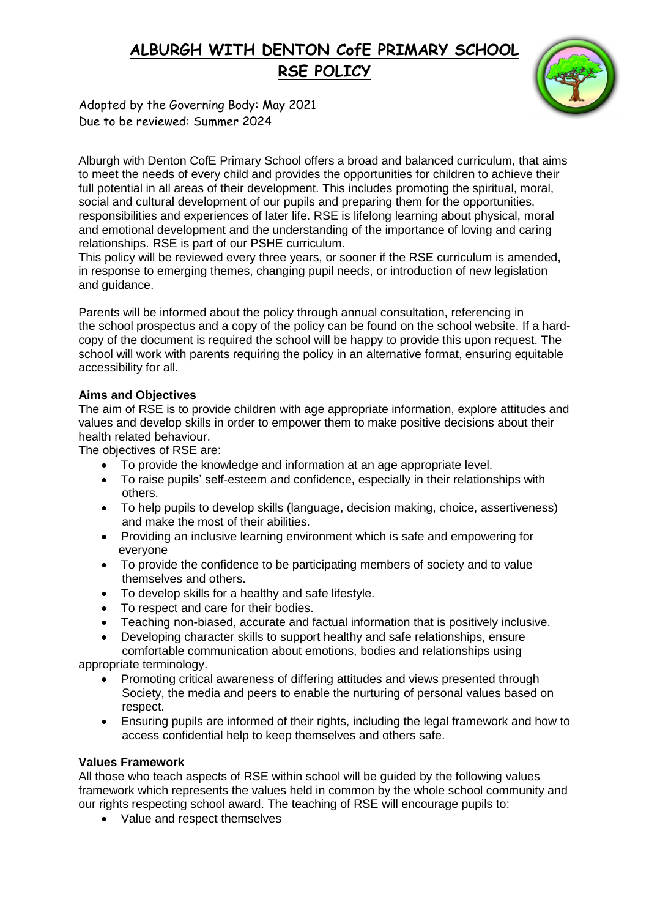# **ALBURGH WITH DENTON CofE PRIMARY SCHOOL RSE POLICY**

Adopted by the Governing Body: May 2021 Due to be reviewed: Summer 2024

Alburgh with Denton CofE Primary School offers a broad and balanced curriculum, that aims to meet the needs of every child and provides the opportunities for children to achieve their full potential in all areas of their development. This includes promoting the spiritual, moral, social and cultural development of our pupils and preparing them for the opportunities, responsibilities and experiences of later life. RSE is lifelong learning about physical, moral and emotional development and the understanding of the importance of loving and caring relationships. RSE is part of our PSHE curriculum.

This policy will be reviewed every three years, or sooner if the RSE curriculum is amended, in response to emerging themes, changing pupil needs, or introduction of new legislation and guidance.

Parents will be informed about the policy through annual consultation, referencing in the school prospectus and a copy of the policy can be found on the school website. If a hardcopy of the document is required the school will be happy to provide this upon request. The school will work with parents requiring the policy in an alternative format, ensuring equitable accessibility for all.

### **Aims and Objectives**

The aim of RSE is to provide children with age appropriate information, explore attitudes and values and develop skills in order to empower them to make positive decisions about their health related behaviour.

The objectives of RSE are:

- To provide the knowledge and information at an age appropriate level.
- To raise pupils' self-esteem and confidence, especially in their relationships with others.
- To help pupils to develop skills (language, decision making, choice, assertiveness) and make the most of their abilities.
- Providing an inclusive learning environment which is safe and empowering for everyone
- To provide the confidence to be participating members of society and to value themselves and others.
- To develop skills for a healthy and safe lifestyle.
- To respect and care for their bodies.
- Teaching non-biased, accurate and factual information that is positively inclusive.
- Developing character skills to support healthy and safe relationships, ensure comfortable communication about emotions, bodies and relationships using

appropriate terminology.

- Promoting critical awareness of differing attitudes and views presented through Society, the media and peers to enable the nurturing of personal values based on respect.
- Ensuring pupils are informed of their rights, including the legal framework and how to access confidential help to keep themselves and others safe.

#### **Values Framework**

All those who teach aspects of RSE within school will be guided by the following values framework which represents the values held in common by the whole school community and our rights respecting school award. The teaching of RSE will encourage pupils to:

• Value and respect themselves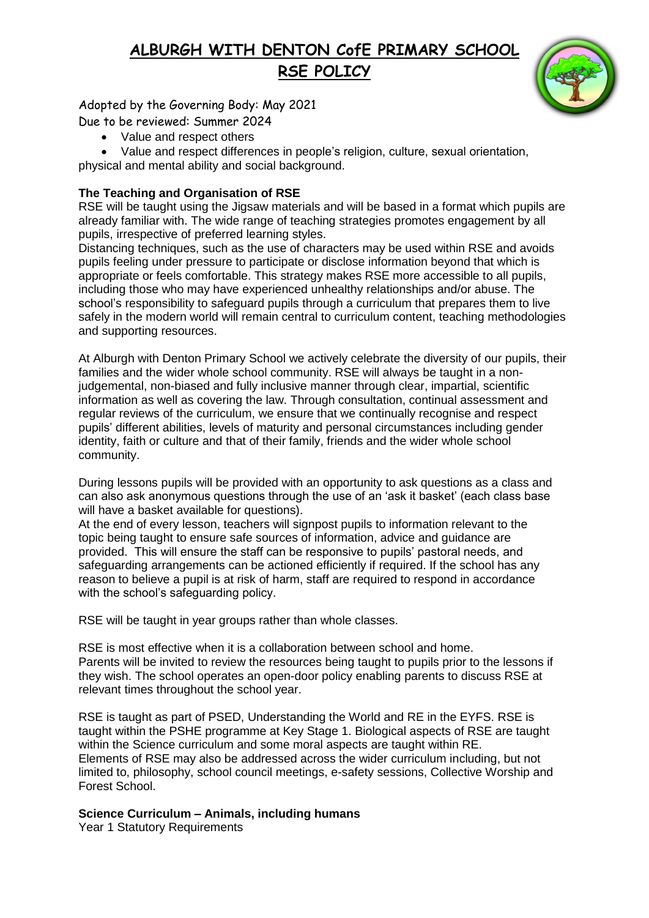## **ALBURGH WITH DENTON CofE PRIMARY SCHOOL RSE POLICY**

Adopted by the Governing Body: May 2021

Due to be reviewed: Summer 2024

Value and respect others

 Value and respect differences in people's religion, culture, sexual orientation, physical and mental ability and social background.

## **The Teaching and Organisation of RSE**

RSE will be taught using the Jigsaw materials and will be based in a format which pupils are already familiar with. The wide range of teaching strategies promotes engagement by all pupils, irrespective of preferred learning styles.

Distancing techniques, such as the use of characters may be used within RSE and avoids pupils feeling under pressure to participate or disclose information beyond that which is appropriate or feels comfortable. This strategy makes RSE more accessible to all pupils, including those who may have experienced unhealthy relationships and/or abuse. The school's responsibility to safeguard pupils through a curriculum that prepares them to live safely in the modern world will remain central to curriculum content, teaching methodologies and supporting resources.

At Alburgh with Denton Primary School we actively celebrate the diversity of our pupils, their families and the wider whole school community. RSE will always be taught in a nonjudgemental, non-biased and fully inclusive manner through clear, impartial, scientific information as well as covering the law. Through consultation, continual assessment and regular reviews of the curriculum, we ensure that we continually recognise and respect pupils' different abilities, levels of maturity and personal circumstances including gender identity, faith or culture and that of their family, friends and the wider whole school community.

During lessons pupils will be provided with an opportunity to ask questions as a class and can also ask anonymous questions through the use of an 'ask it basket' (each class base will have a basket available for questions).

At the end of every lesson, teachers will signpost pupils to information relevant to the topic being taught to ensure safe sources of information, advice and guidance are provided. This will ensure the staff can be responsive to pupils' pastoral needs, and safeguarding arrangements can be actioned efficiently if required. If the school has any reason to believe a pupil is at risk of harm, staff are required to respond in accordance with the school's safeguarding policy.

RSE will be taught in year groups rather than whole classes.

RSE is most effective when it is a collaboration between school and home. Parents will be invited to review the resources being taught to pupils prior to the lessons if they wish. The school operates an open-door policy enabling parents to discuss RSE at relevant times throughout the school year.

RSE is taught as part of PSED, Understanding the World and RE in the EYFS. RSE is taught within the PSHE programme at Key Stage 1. Biological aspects of RSE are taught within the Science curriculum and some moral aspects are taught within RE. Elements of RSE may also be addressed across the wider curriculum including, but not limited to, philosophy, school council meetings, e-safety sessions, Collective Worship and Forest School.

## **Science Curriculum – Animals, including humans**

Year 1 Statutory Requirements